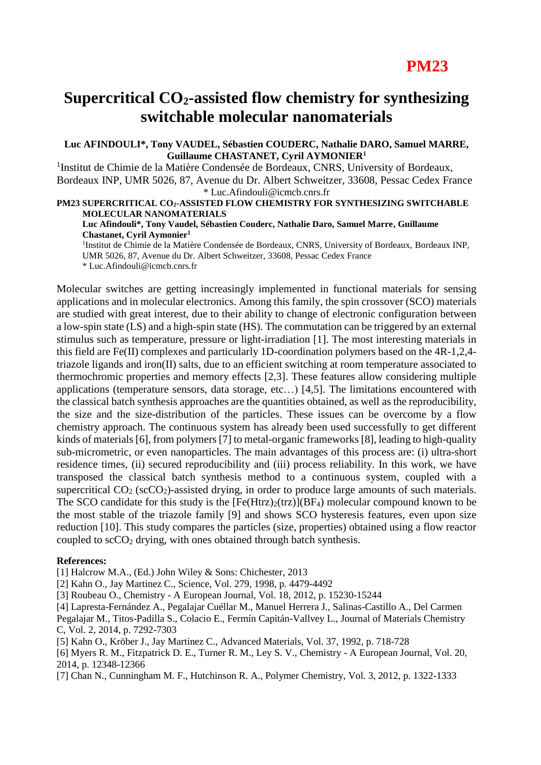## **PM23**

## **Supercritical CO2-assisted flow chemistry for synthesizing switchable molecular nanomaterials**

## **Luc AFINDOULI\*, Tony VAUDEL, Sébastien COUDERC, Nathalie DARO, Samuel MARRE, Guillaume CHASTANET, Cyril AYMONIER<sup>1</sup>**

<sup>1</sup>Institut de Chimie de la Matière Condensée de Bordeaux, CNRS, University of Bordeaux, Bordeaux INP, UMR 5026, 87, Avenue du Dr. Albert Schweitzer, 33608, Pessac Cedex France \* [Luc.Afindouli@icmcb.cnrs.fr](mailto:Luc.Afindouli@icmcb.cnrs.fr)

**PM23 SUPERCRITICAL CO2-ASSISTED FLOW CHEMISTRY FOR SYNTHESIZING SWITCHABLE MOLECULAR NANOMATERIALS**

**Luc Afindouli\*, Tony Vaudel, Sébastien Couderc, Nathalie Daro, Samuel Marre, Guillaume Chastanet, Cyril Aymonier<sup>1</sup>**

<sup>1</sup>Institut de Chimie de la Matière Condensée de Bordeaux, CNRS, University of Bordeaux, Bordeaux INP, UMR 5026, 87, Avenue du Dr. Albert Schweitzer, 33608, Pessac Cedex France \* [Luc.Afindouli@icmcb.cnrs.fr](mailto:Luc.Afindouli@icmcb.cnrs.fr)

Molecular switches are getting increasingly implemented in functional materials for sensing applications and in molecular electronics. Among this family, the spin crossover (SCO) materials are studied with great interest, due to their ability to change of electronic configuration between a low-spin state (LS) and a high-spin state (HS). The commutation can be triggered by an external stimulus such as temperature, pressure or light-irradiation [1]. The most interesting materials in this field are Fe(II) complexes and particularly 1D-coordination polymers based on the 4R-1,2,4 triazole ligands and iron(II) salts, due to an efficient switching at room temperature associated to thermochromic properties and memory effects [2,3]. These features allow considering multiple applications (temperature sensors, data storage, etc…) [4,5]. The limitations encountered with the classical batch synthesis approaches are the quantities obtained, as well as the reproducibility, the size and the size-distribution of the particles. These issues can be overcome by a flow chemistry approach. The continuous system has already been used successfully to get different kinds of materials [6], from polymers [7] to metal-organic frameworks[8], leading to high-quality sub-micrometric, or even nanoparticles. The main advantages of this process are: (i) ultra-short residence times, (ii) secured reproducibility and (iii) process reliability. In this work, we have transposed the classical batch synthesis method to a continuous system, coupled with a supercritical  $CO_2$  (sc $CO_2$ )-assisted drying, in order to produce large amounts of such materials. The SCO candidate for this study is the  $[Fe(Htrz)<sub>2</sub>(trz)](BF<sub>4</sub>)$  molecular compound known to be the most stable of the triazole family [9] and shows SCO hysteresis features, even upon size reduction [10]. This study compares the particles (size, properties) obtained using a flow reactor coupled to scCO<sup>2</sup> drying, with ones obtained through batch synthesis.

## **References:**

[1] Halcrow M.A., (Ed.) John Wiley & Sons: Chichester, 2013

[2] Kahn O., Jay Martinez C., Science, Vol. 279, 1998, p. 4479-4492

[3] Roubeau O., Chemistry - A European Journal, Vol. 18, 2012, p. 15230-15244

[4] Lapresta-Fernández A., [Pegalajar Cuéllar M., Manuel Herrera J., Salinas-Castillo A., Del Carmen](http://pubs.rsc.org/en/content/articlelanding/2014/tc/c4tc00969j) 

[Pegalajar M., Titos-Padilla S., Colacio E., Fermín Capitán-Vallvey](http://pubs.rsc.org/en/content/articlelanding/2014/tc/c4tc00969j) L., Journal of Materials Chemistry C, Vol. 2, 2014, p. 7292-7303

[5] Kahn O., Kröber J., Jay Martinez C., Advanced Materials, Vol. 37, 1992, p. 718-728

[6] Myers R. M., Fitzpatrick D. E., Turner R. M., Ley S. V., Chemistry - A European Journal, Vol. 20, 2014, p. 12348-12366

[7] Chan N., Cunningham M. F., Hutchinson R. A., Polymer Chemistry, Vol. 3, 2012, p. 1322-1333